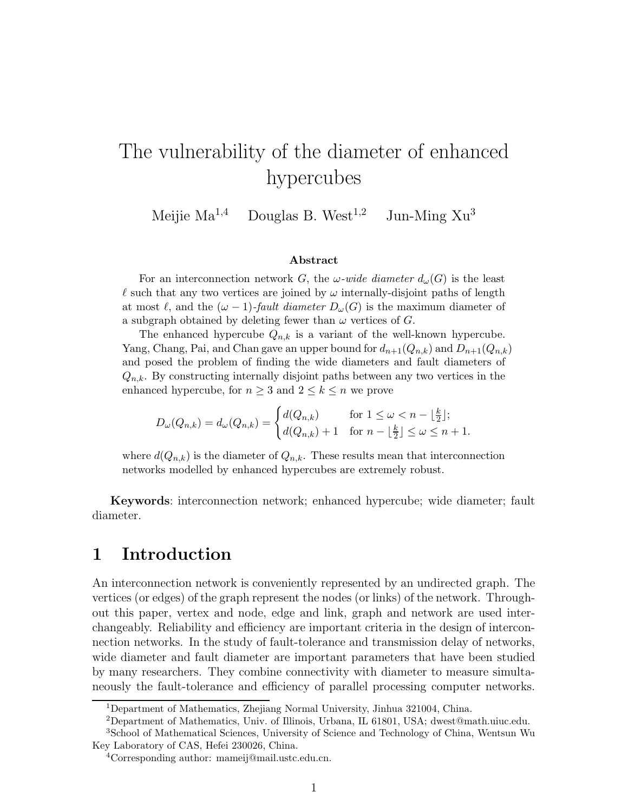# The vulnerability of the diameter of enhanced hypercubes

Meijie  $Ma^{1,4}$  Douglas B. West<sup>1,2</sup> Jun-Ming  $Xu^3$ 

#### Abstract

For an interconnection network G, the  $\omega$ -wide diameter  $d_{\omega}(G)$  is the least  $\ell$  such that any two vertices are joined by  $\omega$  internally-disjoint paths of length at most  $\ell$ , and the  $(\omega - 1)$ -fault diameter  $D_{\omega}(G)$  is the maximum diameter of a subgraph obtained by deleting fewer than  $\omega$  vertices of G.

The enhanced hypercube  $Q_{n,k}$  is a variant of the well-known hypercube. Yang, Chang, Pai, and Chan gave an upper bound for  $d_{n+1}(Q_{n,k})$  and  $D_{n+1}(Q_{n,k})$ and posed the problem of finding the wide diameters and fault diameters of  $Q_{n,k}$ . By constructing internally disjoint paths between any two vertices in the enhanced hypercube, for  $n \geq 3$  and  $2 \leq k \leq n$  we prove

$$
D_{\omega}(Q_{n,k}) = d_{\omega}(Q_{n,k}) = \begin{cases} d(Q_{n,k}) & \text{for } 1 \leq \omega < n - \lfloor \frac{k}{2} \rfloor; \\ d(Q_{n,k}) + 1 & \text{for } n - \lfloor \frac{k}{2} \rfloor \leq \omega \leq n + 1. \end{cases}
$$

where  $d(Q_{n,k})$  is the diameter of  $Q_{n,k}$ . These results mean that interconnection networks modelled by enhanced hypercubes are extremely robust.

Keywords: interconnection network; enhanced hypercube; wide diameter; fault diameter.

# 1 Introduction

An interconnection network is conveniently represented by an undirected graph. The vertices (or edges) of the graph represent the nodes (or links) of the network. Throughout this paper, vertex and node, edge and link, graph and network are used interchangeably. Reliability and efficiency are important criteria in the design of interconnection networks. In the study of fault-tolerance and transmission delay of networks, wide diameter and fault diameter are important parameters that have been studied by many researchers. They combine connectivity with diameter to measure simultaneously the fault-tolerance and efficiency of parallel processing computer networks.

<sup>1</sup>Department of Mathematics, Zhejiang Normal University, Jinhua 321004, China.

<sup>2</sup>Department of Mathematics, Univ. of Illinois, Urbana, IL 61801, USA; dwest@math.uiuc.edu. <sup>3</sup>School of Mathematical Sciences, University of Science and Technology of China, Wentsun Wu

Key Laboratory of CAS, Hefei 230026, China.

<sup>4</sup>Corresponding author: mameij@mail.ustc.edu.cn.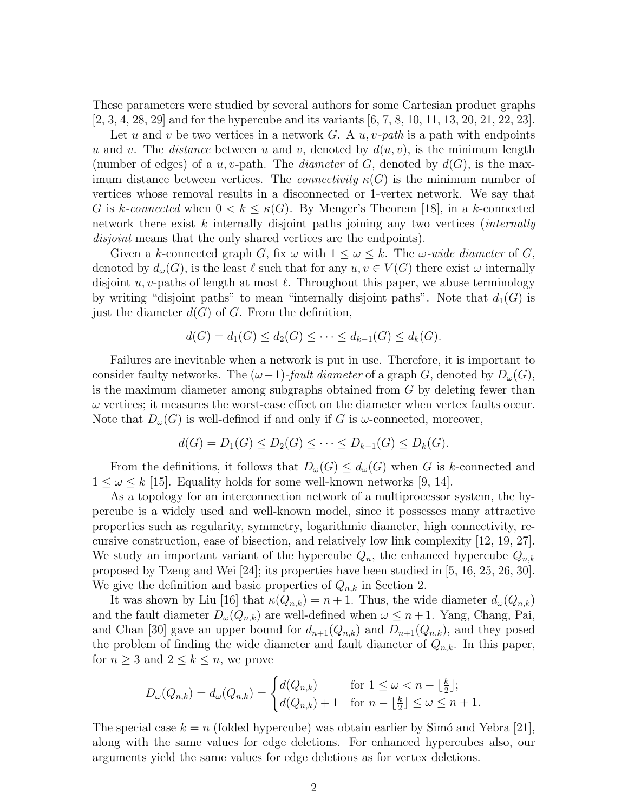These parameters were studied by several authors for some Cartesian product graphs [2, 3, 4, 28, 29] and for the hypercube and its variants [6, 7, 8, 10, 11, 13, 20, 21, 22, 23].

Let u and v be two vertices in a network  $G$ . A  $u, v$ -path is a path with endpoints u and v. The distance between u and v, denoted by  $d(u, v)$ , is the minimum length (number of edges) of a u, v-path. The diameter of G, denoted by  $d(G)$ , is the maximum distance between vertices. The *connectivity*  $\kappa(G)$  is the minimum number of vertices whose removal results in a disconnected or 1-vertex network. We say that G is k-connected when  $0 < k \leq \kappa(G)$ . By Menger's Theorem [18], in a k-connected network there exist k internally disjoint paths joining any two vertices *(internally* disjoint means that the only shared vertices are the endpoints).

Given a k-connected graph G, fix  $\omega$  with  $1 \leq \omega \leq k$ . The  $\omega$ -wide diameter of G, denoted by  $d_{\omega}(G)$ , is the least  $\ell$  such that for any  $u, v \in V(G)$  there exist  $\omega$  internally disjoint u, v-paths of length at most  $\ell$ . Throughout this paper, we abuse terminology by writing "disjoint paths" to mean "internally disjoint paths". Note that  $d_1(G)$  is just the diameter  $d(G)$  of G. From the definition,

$$
d(G) = d_1(G) \leq d_2(G) \leq \cdots \leq d_{k-1}(G) \leq d_k(G).
$$

Failures are inevitable when a network is put in use. Therefore, it is important to consider faulty networks. The  $(\omega-1)$ -fault diameter of a graph G, denoted by  $D_{\omega}(G)$ , is the maximum diameter among subgraphs obtained from  $G$  by deleting fewer than  $\omega$  vertices; it measures the worst-case effect on the diameter when vertex faults occur. Note that  $D_{\omega}(G)$  is well-defined if and only if G is  $\omega$ -connected, moreover,

$$
d(G) = D_1(G) \le D_2(G) \le \cdots \le D_{k-1}(G) \le D_k(G).
$$

From the definitions, it follows that  $D_{\omega}(G) \leq d_{\omega}(G)$  when G is k-connected and  $1 \leq \omega \leq k$  [15]. Equality holds for some well-known networks [9, 14].

As a topology for an interconnection network of a multiprocessor system, the hypercube is a widely used and well-known model, since it possesses many attractive properties such as regularity, symmetry, logarithmic diameter, high connectivity, recursive construction, ease of bisection, and relatively low link complexity [12, 19, 27]. We study an important variant of the hypercube  $Q_n$ , the enhanced hypercube  $Q_{n,k}$ proposed by Tzeng and Wei [24]; its properties have been studied in [5, 16, 25, 26, 30]. We give the definition and basic properties of  $Q_{n,k}$  in Section 2.

It was shown by Liu [16] that  $\kappa(Q_{n,k}) = n+1$ . Thus, the wide diameter  $d_{\omega}(Q_{n,k})$ and the fault diameter  $D_{\omega}(Q_{n,k})$  are well-defined when  $\omega \leq n+1$ . Yang, Chang, Pai, and Chan [30] gave an upper bound for  $d_{n+1}(Q_{n,k})$  and  $D_{n+1}(Q_{n,k})$ , and they posed the problem of finding the wide diameter and fault diameter of  $Q_{n,k}$ . In this paper, for  $n \geq 3$  and  $2 \leq k \leq n$ , we prove

$$
D_{\omega}(Q_{n,k}) = d_{\omega}(Q_{n,k}) = \begin{cases} d(Q_{n,k}) & \text{for } 1 \leq \omega < n - \lfloor \frac{k}{2} \rfloor; \\ d(Q_{n,k}) + 1 & \text{for } n - \lfloor \frac{k}{2} \rfloor \leq \omega \leq n + 1. \end{cases}
$$

The special case  $k = n$  (folded hypercube) was obtain earlier by Simó and Yebra [21], along with the same values for edge deletions. For enhanced hypercubes also, our arguments yield the same values for edge deletions as for vertex deletions.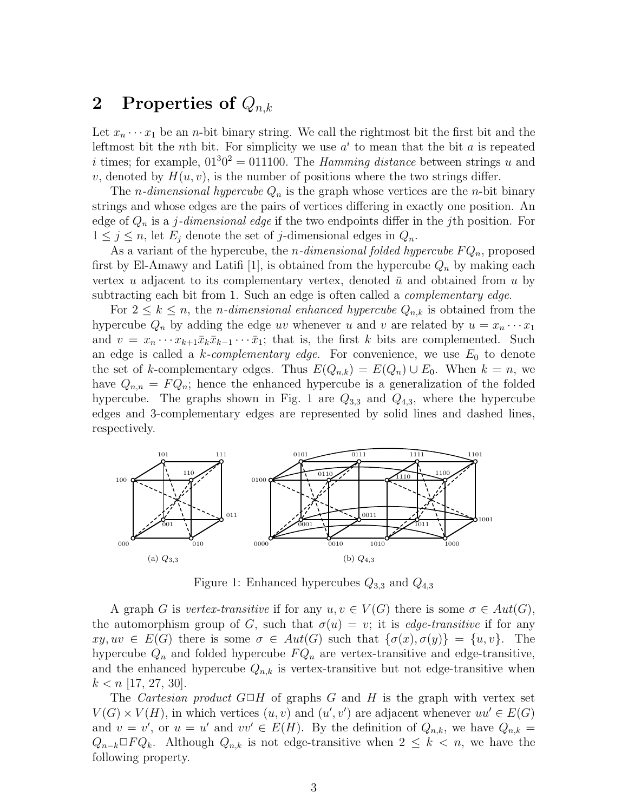# 2 Properties of  $Q_{n,k}$

Let  $x_n \cdots x_1$  be an *n*-bit binary string. We call the rightmost bit the first bit and the leftmost bit the *n*th bit. For simplicity we use  $a^i$  to mean that the bit a is repeated i times; for example,  $01^{3}0^{2} = 011100$ . The *Hamming distance* between strings u and v, denoted by  $H(u, v)$ , is the number of positions where the two strings differ.

The *n*-dimensional hypercube  $Q_n$  is the graph whose vertices are the *n*-bit binary strings and whose edges are the pairs of vertices differing in exactly one position. An edge of  $Q_n$  is a j-dimensional edge if the two endpoints differ in the jth position. For  $1 \leq j \leq n$ , let  $E_j$  denote the set of j-dimensional edges in  $Q_n$ .

As a variant of the hypercube, the *n*-dimensional folded hypercube  $FQ_n$ , proposed first by El-Amawy and Latifi [1], is obtained from the hypercube  $Q_n$  by making each vertex u adjacent to its complementary vertex, denoted  $\bar{u}$  and obtained from u by subtracting each bit from 1. Such an edge is often called a *complementary edge*.

For  $2 \leq k \leq n$ , the *n*-dimensional enhanced hypercube  $Q_{n,k}$  is obtained from the hypercube  $Q_n$  by adding the edge uv whenever u and v are related by  $u = x_n \cdots x_1$ and  $v = x_n \cdots x_{k+1} \bar{x}_k \bar{x}_{k-1} \cdots \bar{x}_1$ ; that is, the first k bits are complemented. Such an edge is called a k-complementary edge. For convenience, we use  $E_0$  to denote the set of k-complementary edges. Thus  $E(Q_{n,k}) = E(Q_n) \cup E_0$ . When  $k = n$ , we have  $Q_{n,n} = FQ_n$ ; hence the enhanced hypercube is a generalization of the folded hypercube. The graphs shown in Fig. 1 are  $Q_{3,3}$  and  $Q_{4,3}$ , where the hypercube edges and 3-complementary edges are represented by solid lines and dashed lines, respectively.



Figure 1: Enhanced hypercubes  $Q_{3,3}$  and  $Q_{4,3}$ 

A graph G is vertex-transitive if for any  $u, v \in V(G)$  there is some  $\sigma \in Aut(G)$ , the automorphism group of G, such that  $\sigma(u) = v$ ; it is *edge-transitive* if for any  $xy, uv \in E(G)$  there is some  $\sigma \in Aut(G)$  such that  $\{\sigma(x), \sigma(y)\} = \{u, v\}.$  The hypercube  $Q_n$  and folded hypercube  $FQ_n$  are vertex-transitive and edge-transitive, and the enhanced hypercube  $Q_{n,k}$  is vertex-transitive but not edge-transitive when  $k < n$  [17, 27, 30].

The Cartesian product  $G \Box H$  of graphs G and H is the graph with vertex set  $V(G) \times V(H)$ , in which vertices  $(u, v)$  and  $(u', v')$  are adjacent whenever  $uu' \in E(G)$ and  $v = v'$ , or  $u = u'$  and  $vv' \in E(H)$ . By the definition of  $Q_{n,k}$ , we have  $Q_{n,k}$  $Q_{n-k}\Box F Q_k$ . Although  $Q_{n,k}$  is not edge-transitive when  $2 \leq k \leq n$ , we have the following property.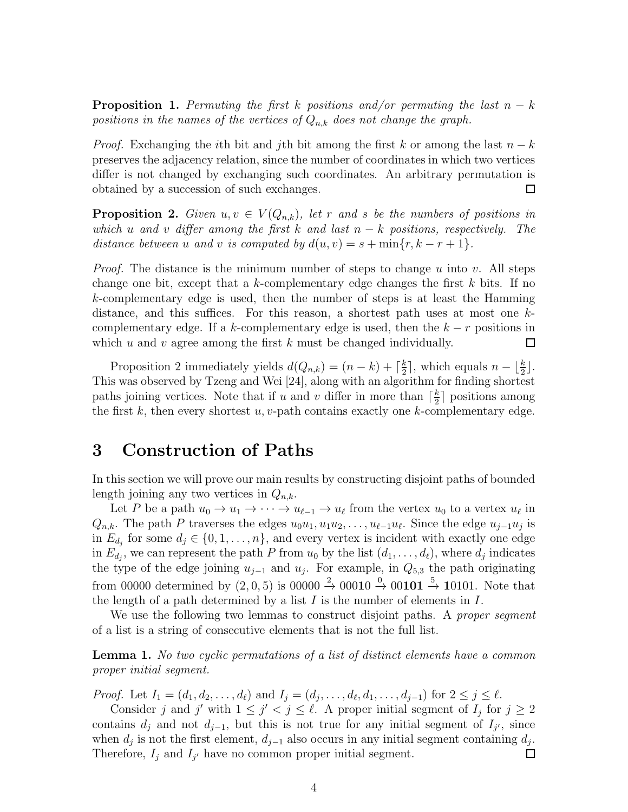**Proposition 1.** Permuting the first k positions and/or permuting the last  $n - k$ positions in the names of the vertices of  $Q_{n,k}$  does not change the graph.

*Proof.* Exchanging the *i*th bit and *j*th bit among the first k or among the last  $n - k$ preserves the adjacency relation, since the number of coordinates in which two vertices differ is not changed by exchanging such coordinates. An arbitrary permutation is obtained by a succession of such exchanges.  $\Box$ 

**Proposition 2.** Given  $u, v \in V(Q_{n,k})$ , let r and s be the numbers of positions in which u and v differ among the first k and last  $n - k$  positions, respectively. The distance between u and v is computed by  $d(u, v) = s + \min\{r, k - r + 1\}.$ 

*Proof.* The distance is the minimum number of steps to change u into v. All steps change one bit, except that a k-complementary edge changes the first  $k$  bits. If no k-complementary edge is used, then the number of steps is at least the Hamming distance, and this suffices. For this reason, a shortest path uses at most one  $k$ complementary edge. If a k-complementary edge is used, then the  $k - r$  positions in which u and v agree among the first  $k$  must be changed individually.  $\Box$ 

Proposition 2 immediately yields  $d(Q_{n,k}) = (n-k) + \lceil \frac{k}{2} \rceil$  $\frac{k}{2}$ , which equals  $n - \lfloor \frac{k}{2} \rfloor$ . This was observed by Tzeng and Wei [24], along with an algorithm for finding shortest paths joining vertices. Note that if u and v differ in more than  $\lceil \frac{k}{2} \rceil$  $\frac{k}{2}$  positions among the first k, then every shortest  $u, v$ -path contains exactly one k-complementary edge.

### 3 Construction of Paths

In this section we will prove our main results by constructing disjoint paths of bounded length joining any two vertices in  $Q_{n,k}$ .

Let P be a path  $u_0 \to u_1 \to \cdots \to u_{\ell-1} \to u_{\ell}$  from the vertex  $u_0$  to a vertex  $u_{\ell}$  in  $Q_{n,k}$ . The path P traverses the edges  $u_0u_1, u_1u_2, \ldots, u_{\ell-1}u_{\ell}$ . Since the edge  $u_{j-1}u_j$  is in  $E_{d_j}$  for some  $d_j \in \{0, 1, \ldots, n\}$ , and every vertex is incident with exactly one edge in  $E_{d_j}$ , we can represent the path P from  $u_0$  by the list  $(d_1, \ldots, d_\ell)$ , where  $d_j$  indicates the type of the edge joining  $u_{j-1}$  and  $u_j$ . For example, in  $Q_{5,3}$  the path originating from 00000 determined by  $(2,0,5)$  is 00000  $\stackrel{2}{\rightarrow}$  00010  $\stackrel{0}{\rightarrow}$  00101  $\stackrel{5}{\rightarrow}$  10101. Note that the length of a path determined by a list  $I$  is the number of elements in  $I$ .

We use the following two lemmas to construct disjoint paths. A proper segment of a list is a string of consecutive elements that is not the full list.

**Lemma 1.** No two cyclic permutations of a list of distinct elements have a common proper initial segment.

*Proof.* Let  $I_1 = (d_1, d_2, \ldots, d_\ell)$  and  $I_j = (d_j, \ldots, d_\ell, d_1, \ldots, d_{j-1})$  for  $2 \leq j \leq \ell$ .

Consider j and j' with  $1 \leq j' < j \leq \ell$ . A proper initial segment of  $I_j$  for  $j \geq 2$ contains  $d_j$  and not  $d_{j-1}$ , but this is not true for any initial segment of  $I_{j'}$ , since when  $d_j$  is not the first element,  $d_{j-1}$  also occurs in any initial segment containing  $d_j$ . Therefore,  $I_j$  and  $I_{j'}$  have no common proper initial segment.  $\Box$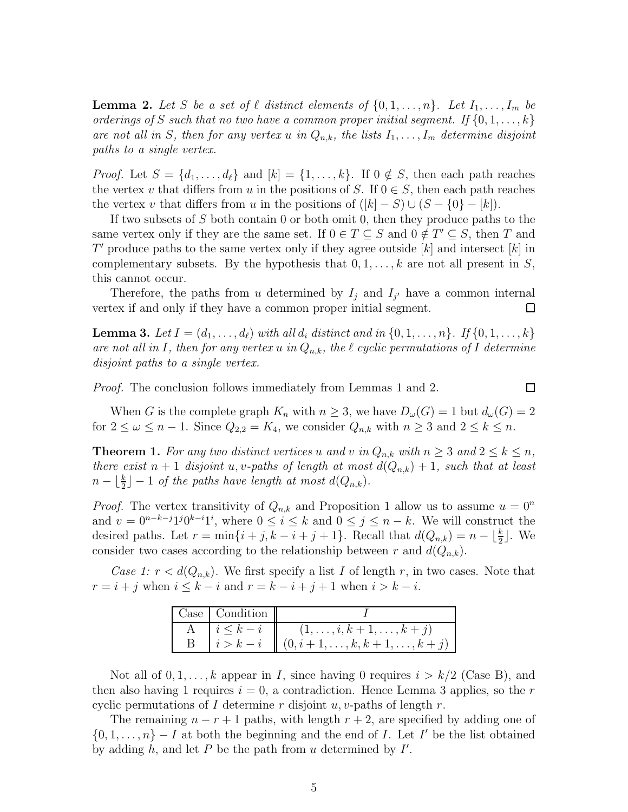**Lemma 2.** Let S be a set of  $\ell$  distinct elements of  $\{0, 1, \ldots, n\}$ . Let  $I_1, \ldots, I_m$  be orderings of S such that no two have a common proper initial segment. If  $\{0, 1, \ldots, k\}$ are not all in S, then for any vertex u in  $Q_{n,k}$ , the lists  $I_1, \ldots, I_m$  determine disjoint paths to a single vertex.

*Proof.* Let  $S = \{d_1, \ldots, d_\ell\}$  and  $[k] = \{1, \ldots, k\}$ . If  $0 \notin S$ , then each path reaches the vertex v that differs from u in the positions of S. If  $0 \in S$ , then each path reaches the vertex v that differs from u in the positions of  $([k] - S) \cup (S - \{0\} - [k])$ .

If two subsets of S both contain 0 or both omit 0, then they produce paths to the same vertex only if they are the same set. If  $0 \in T \subseteq S$  and  $0 \notin T' \subseteq S$ , then T and  $T'$  produce paths to the same vertex only if they agree outside  $[k]$  and intersect  $[k]$  in complementary subsets. By the hypothesis that  $0, 1, \ldots, k$  are not all present in S, this cannot occur.

Therefore, the paths from u determined by  $I_j$  and  $I_{j'}$  have a common internal vertex if and only if they have a common proper initial segment. 口

**Lemma 3.** Let  $I = (d_1, ..., d_\ell)$  with all  $d_i$  distinct and in  $\{0, 1, ..., n\}$ . If  $\{0, 1, ..., k\}$ are not all in I, then for any vertex u in  $Q_{n,k}$ , the  $\ell$  cyclic permutations of I determine disjoint paths to a single vertex.

Proof. The conclusion follows immediately from Lemmas 1 and 2.

 $\Box$ 

When G is the complete graph  $K_n$  with  $n \geq 3$ , we have  $D_{\omega}(G) = 1$  but  $d_{\omega}(G) = 2$ for  $2 \leq \omega \leq n-1$ . Since  $Q_{2,2} = K_4$ , we consider  $Q_{n,k}$  with  $n \geq 3$  and  $2 \leq k \leq n$ .

**Theorem 1.** For any two distinct vertices u and v in  $Q_{n,k}$  with  $n \geq 3$  and  $2 \leq k \leq n$ , there exist  $n + 1$  disjoint u, v-paths of length at most  $d(Q_{n,k}) + 1$ , such that at least  $n - \lfloor \frac{k}{2} \rfloor - 1$  of the paths have length at most  $d(Q_{n,k})$ .

*Proof.* The vertex transitivity of  $Q_{n,k}$  and Proposition 1 allow us to assume  $u = 0^n$ and  $v = 0^{n-k-j}1^j0^{k-i}1^i$ , where  $0 \le i \le k$  and  $0 \le j \le n-k$ . We will construct the desired paths. Let  $r = \min\{i + j, k - i + j + 1\}$ . Recall that  $d(Q_{n,k}) = n - \lfloor \frac{k}{2} \rfloor$ . We consider two cases according to the relationship between r and  $d(Q_{n,k})$ .

Case 1:  $r < d(Q_{n,k})$ . We first specify a list I of length r, in two cases. Note that  $r = i + j$  when  $i \leq k - i$  and  $r = k - i + j + 1$  when  $i > k - i$ .

| $\vert$ Case $\vert$ Condition $\vert$ |                                                                   |
|----------------------------------------|-------------------------------------------------------------------|
|                                        | $ i \leq k - i$ $   (1, , i, k + 1, , k + j)$                     |
|                                        | $\mid i > k - i \mid (0, i + 1, \ldots, k, k + 1, \ldots, k + j)$ |

Not all of  $0, 1, \ldots, k$  appear in I, since having 0 requires  $i > k/2$  (Case B), and then also having 1 requires  $i = 0$ , a contradiction. Hence Lemma 3 applies, so the r cyclic permutations of I determine r disjoint u, v-paths of length r.

The remaining  $n - r + 1$  paths, with length  $r + 2$ , are specified by adding one of  $\{0, 1, \ldots, n\}$  – I at both the beginning and the end of I. Let I' be the list obtained by adding  $h$ , and let  $P$  be the path from  $u$  determined by  $I'$ .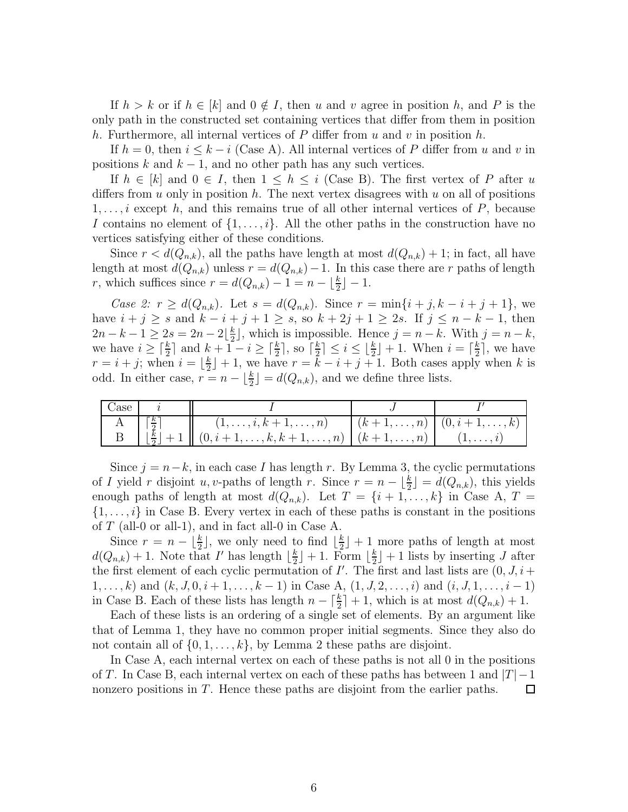If  $h > k$  or if  $h \in [k]$  and  $0 \notin I$ , then u and v agree in position h, and P is the only path in the constructed set containing vertices that differ from them in position h. Furthermore, all internal vertices of  $P$  differ from  $u$  and  $v$  in position  $h$ .

If  $h = 0$ , then  $i \leq k - i$  (Case A). All internal vertices of P differ from u and v in positions k and  $k - 1$ , and no other path has any such vertices.

If  $h \in [k]$  and  $0 \in I$ , then  $1 \leq h \leq i$  (Case B). The first vertex of P after u differs from u only in position h. The next vertex disagrees with u on all of positions  $1, \ldots, i$  except h, and this remains true of all other internal vertices of P, because I contains no element of  $\{1, \ldots, i\}$ . All the other paths in the construction have no vertices satisfying either of these conditions.

Since  $r < d(Q_{n,k})$ , all the paths have length at most  $d(Q_{n,k}) + 1$ ; in fact, all have length at most  $d(Q_{n,k})$  unless  $r = d(Q_{n,k}) - 1$ . In this case there are r paths of length r, which suffices since  $r = d(Q_{n,k}) - 1 = n - \lfloor \frac{k}{2} \rfloor - 1$ .

Case 2:  $r \geq d(Q_{n,k})$ . Let  $s = d(Q_{n,k})$ . Since  $r = \min\{i + j, k - i + j + 1\}$ , we have  $i + j \ge s$  and  $k - i + j + 1 \ge s$ , so  $k + 2j + 1 \ge 2s$ . If  $j \le n - k - 1$ , then  $2n - k - 1 \geq 2s = 2n - 2\left\lfloor \frac{k}{2} \right\rfloor$ , which is impossible. Hence  $j = n - k$ . With  $j = n - k$ , we have  $i \geq \lceil \frac{k}{2} \rceil$  and  $k + 1 - i \geq \lceil \frac{k}{2} \rceil$ , so  $\lceil \frac{k}{2} \rceil$  $\frac{k}{2}$ ]  $\leq i \leq \lfloor \frac{k}{2} \rfloor + 1$ . When  $i = \lceil \frac{k}{2} \rceil$  $\frac{k}{2}$ , we have  $r = i + j$ ; when  $i = \lfloor \frac{k}{2} \rfloor$  $\lfloor \frac{k}{2} \rfloor + 1$ , we have  $r = k - i + j + 1$ . Both cases apply when k is odd. In either case,  $r = n - \lfloor \frac{k}{2} \rfloor = d(Q_{n,k})$ , and we define three lists.

| - Case |                             |                                                                                                                            |  |
|--------|-----------------------------|----------------------------------------------------------------------------------------------------------------------------|--|
|        | $\lceil \frac{k}{2} \rceil$ | $(1,\ldots,i,k+1,\ldots,n)$ $(k+1,\ldots,n)$ $(0,i+1,\ldots,k)$                                                            |  |
|        |                             | $\lfloor \frac{k}{2} \rfloor + 1 \mid (0, i + 1, \ldots, k, k + 1, \ldots, n) \mid (k + 1, \ldots, n) \mid (1, \ldots, i)$ |  |

Since  $j = n-k$ , in each case I has length r. By Lemma 3, the cyclic permutations of I yield r disjoint u, v-paths of length r. Since  $r = n - \lfloor \frac{k}{2} \rfloor = d(Q_{n,k})$ , this yields enough paths of length at most  $d(Q_{n,k})$ . Let  $T = \{i+1,\ldots,k\}$  in Case A,  $T =$  $\{1, \ldots, i\}$  in Case B. Every vertex in each of these paths is constant in the positions of  $T$  (all-0 or all-1), and in fact all-0 in Case A.

Since  $r = n - \lfloor \frac{k}{2} \rfloor$ , we only need to find  $\lfloor \frac{k}{2} \rfloor$  $\frac{k}{2}$  + 1 more paths of length at most  $d(Q_{n,k})+1$ . Note that I' has length  $\lfloor \frac{k}{2} \rfloor$  $\frac{k}{2}$  + 1. Form  $\lfloor \frac{k}{2} \rfloor$  $\frac{k}{2}$  + 1 lists by inserting J after the first element of each cyclic permutation of  $I'$ . The first and last lists are  $(0, J, i +$  $1, \ldots, k$ ) and  $(k, J, 0, i+1, \ldots, k-1)$  in Case A,  $(1, J, 2, \ldots, i)$  and  $(i, J, 1, \ldots, i-1)$ in Case B. Each of these lists has length  $n - \lceil \frac{k}{2} \rceil + 1$ , which is at most  $d(Q_{n,k}) + 1$ .

Each of these lists is an ordering of a single set of elements. By an argument like that of Lemma 1, they have no common proper initial segments. Since they also do not contain all of  $\{0, 1, \ldots, k\}$ , by Lemma 2 these paths are disjoint.

In Case A, each internal vertex on each of these paths is not all 0 in the positions of T. In Case B, each internal vertex on each of these paths has between 1 and  $|T|-1$ nonzero positions in T. Hence these paths are disjoint from the earlier paths.  $\Box$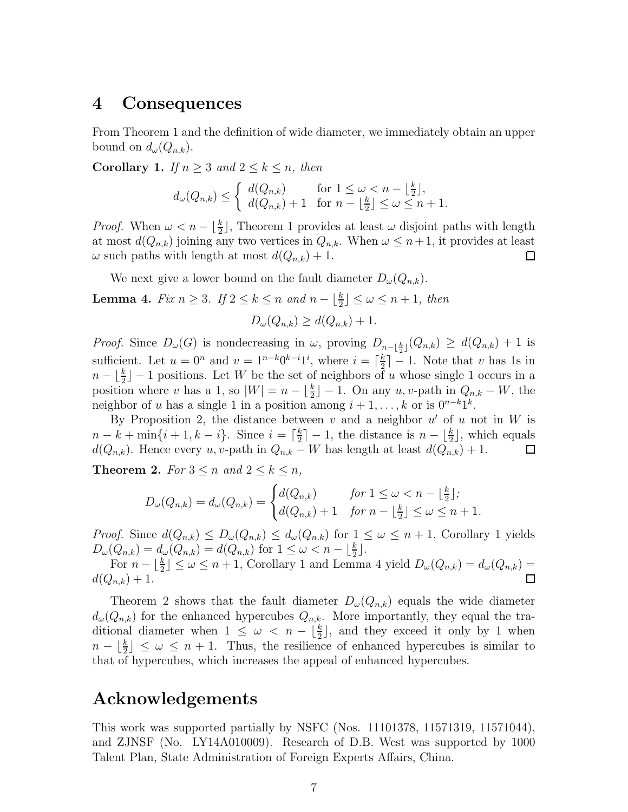#### 4 Consequences

From Theorem 1 and the definition of wide diameter, we immediately obtain an upper bound on  $d_{\omega}(Q_{n,k})$ .

Corollary 1. If  $n \geq 3$  and  $2 \leq k \leq n$ , then

$$
d_{\omega}(Q_{n,k}) \leq \begin{cases} d(Q_{n,k}) & \text{for } 1 \leq \omega < n - \lfloor \frac{k}{2} \rfloor, \\ d(Q_{n,k}) + 1 & \text{for } n - \lfloor \frac{k}{2} \rfloor \leq \omega \leq n + 1. \end{cases}
$$

*Proof.* When  $\omega < n - \lfloor \frac{k}{2} \rfloor$ , Theorem 1 provides at least  $\omega$  disjoint paths with length at most  $d(Q_{n,k})$  joining any two vertices in  $Q_{n,k}$ . When  $\omega \leq n+1$ , it provides at least  $\omega$  such paths with length at most  $d(Q_{n,k}) + 1$ . □

We next give a lower bound on the fault diameter  $D_{\omega}(Q_{n,k})$ .

**Lemma 4.** Fix  $n \geq 3$ . If  $2 \leq k \leq n$  and  $n - \lfloor \frac{k}{2} \rfloor \leq \omega \leq n + 1$ , then

$$
D_{\omega}(Q_{n,k}) \ge d(Q_{n,k}) + 1.
$$

*Proof.* Since  $D_{\omega}(G)$  is nondecreasing in  $\omega$ , proving  $D_{n-\lfloor \frac{k}{2} \rfloor}(Q_{n,k}) \geq d(Q_{n,k}) + 1$  is sufficient. Let  $u = 0^n$  and  $v = 1^{n-k}0^{k-i}1^i$ , where  $i = \lceil \frac{k}{2} \rceil$  $\frac{k}{2}$  | -1. Note that v has 1s in  $n - \lfloor \frac{k}{2} \rfloor - 1$  positions. Let W be the set of neighbors of u whose single 1 occurs in a position where v has a 1, so  $|W| = n - \lfloor \frac{k}{2} \rfloor - 1$ . On any u, v-path in  $Q_{n,k} - W$ , the neighbor of u has a single 1 in a position among  $i + 1, \ldots, k$  or is  $0^{n-k}1^k$ .

By Proposition 2, the distance between  $v$  and a neighbor  $u'$  of  $u$  not in  $W$  is  $n - k + \min\{i + 1, k - i\}.$  Since  $i = \lceil \frac{k}{2} \rceil$  $\frac{k}{2}$ ] – 1, the distance is  $n - \lfloor \frac{k}{2} \rfloor$ , which equals  $d(Q_{n,k})$ . Hence every u, v-path in  $Q_{n,k} - W$  has length at least  $d(Q_{n,k}) + 1$ .  $\Box$ 

**Theorem 2.** For  $3 \le n$  and  $2 \le k \le n$ ,

$$
D_{\omega}(Q_{n,k}) = d_{\omega}(Q_{n,k}) = \begin{cases} d(Q_{n,k}) & \text{for } 1 \leq \omega < n - \lfloor \frac{k}{2} \rfloor; \\ d(Q_{n,k}) + 1 & \text{for } n - \lfloor \frac{k}{2} \rfloor \leq \omega \leq n + 1. \end{cases}
$$

*Proof.* Since  $d(Q_{n,k}) \leq D_{\omega}(Q_{n,k}) \leq d_{\omega}(Q_{n,k})$  for  $1 \leq \omega \leq n+1$ , Corollary 1 yields  $D_{\omega}(Q_{n,k}) = d_{\omega}(Q_{n,k}) = d(Q_{n,k})$  for  $1 \leq \omega < n - \lfloor \frac{k}{2} \rfloor$ .

For  $n - \lfloor \frac{k}{2} \rfloor \leq \omega \leq n + 1$ , Corollary 1 and Lemma 4 yield  $D_{\omega}(Q_{n,k}) = d_{\omega}(Q_{n,k}) =$  $d(Q_{n,k}) + 1.$ П

Theorem 2 shows that the fault diameter  $D_{\omega}(Q_{n,k})$  equals the wide diameter  $d_{\omega}(Q_{n,k})$  for the enhanced hypercubes  $Q_{n,k}$ . More importantly, they equal the traditional diameter when  $1 \leq \omega \leq n - \lfloor \frac{k}{2} \rfloor$ , and they exceed it only by 1 when  $n - \lfloor \frac{k}{2} \rfloor \leq \omega \leq n + 1$ . Thus, the resilience of enhanced hypercubes is similar to that of hypercubes, which increases the appeal of enhanced hypercubes.

#### Acknowledgements

This work was supported partially by NSFC (Nos. 11101378, 11571319, 11571044), and ZJNSF (No. LY14A010009). Research of D.B. West was supported by 1000 Talent Plan, State Administration of Foreign Experts Affairs, China.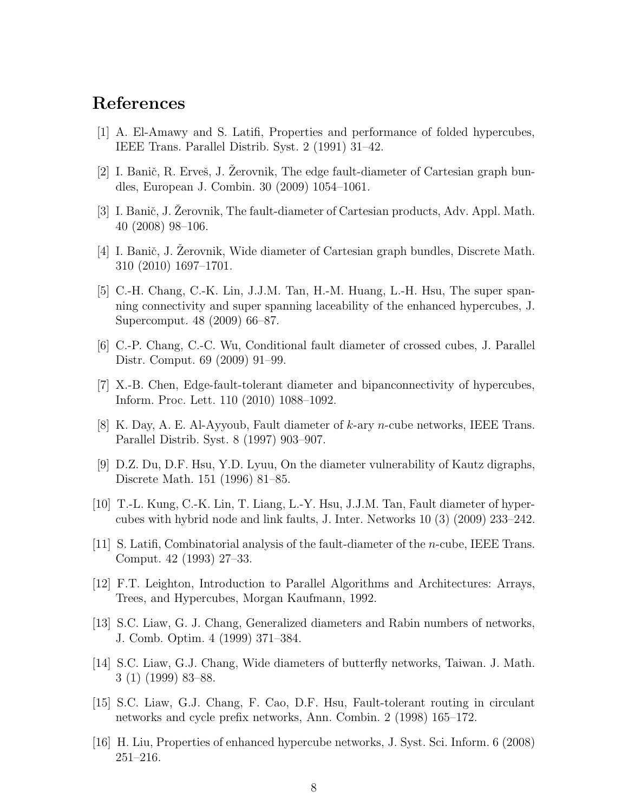# References

- [1] A. El-Amawy and S. Latifi, Properties and performance of folded hypercubes, IEEE Trans. Parallel Distrib. Syst. 2 (1991) 31–42.
- [2] I. Banič, R. Erveš, J. Zerovnik, The edge fault-diameter of Cartesian graph bundles, European J. Combin. 30 (2009) 1054–1061.
- [3] I. Banič, J. Zerovnik, The fault-diameter of Cartesian products, Adv. Appl. Math. 40 (2008) 98–106.
- [4] I. Banič, J. Zerovnik, Wide diameter of Cartesian graph bundles, Discrete Math. 310 (2010) 1697–1701.
- [5] C.-H. Chang, C.-K. Lin, J.J.M. Tan, H.-M. Huang, L.-H. Hsu, The super spanning connectivity and super spanning laceability of the enhanced hypercubes, J. Supercomput. 48 (2009) 66–87.
- [6] C.-P. Chang, C.-C. Wu, Conditional fault diameter of crossed cubes, J. Parallel Distr. Comput. 69 (2009) 91–99.
- [7] X.-B. Chen, Edge-fault-tolerant diameter and bipanconnectivity of hypercubes, Inform. Proc. Lett. 110 (2010) 1088–1092.
- [8] K. Day, A. E. Al-Ayyoub, Fault diameter of k-ary n-cube networks, IEEE Trans. Parallel Distrib. Syst. 8 (1997) 903–907.
- [9] D.Z. Du, D.F. Hsu, Y.D. Lyuu, On the diameter vulnerability of Kautz digraphs, Discrete Math. 151 (1996) 81–85.
- [10] T.-L. Kung, C.-K. Lin, T. Liang, L.-Y. Hsu, J.J.M. Tan, Fault diameter of hypercubes with hybrid node and link faults, J. Inter. Networks 10 (3) (2009) 233–242.
- [11] S. Latifi, Combinatorial analysis of the fault-diameter of the n-cube, IEEE Trans. Comput. 42 (1993) 27–33.
- [12] F.T. Leighton, Introduction to Parallel Algorithms and Architectures: Arrays, Trees, and Hypercubes, Morgan Kaufmann, 1992.
- [13] S.C. Liaw, G. J. Chang, Generalized diameters and Rabin numbers of networks, J. Comb. Optim. 4 (1999) 371–384.
- [14] S.C. Liaw, G.J. Chang, Wide diameters of butterfly networks, Taiwan. J. Math. 3 (1) (1999) 83–88.
- [15] S.C. Liaw, G.J. Chang, F. Cao, D.F. Hsu, Fault-tolerant routing in circulant networks and cycle prefix networks, Ann. Combin. 2 (1998) 165–172.
- [16] H. Liu, Properties of enhanced hypercube networks, J. Syst. Sci. Inform. 6 (2008) 251–216.